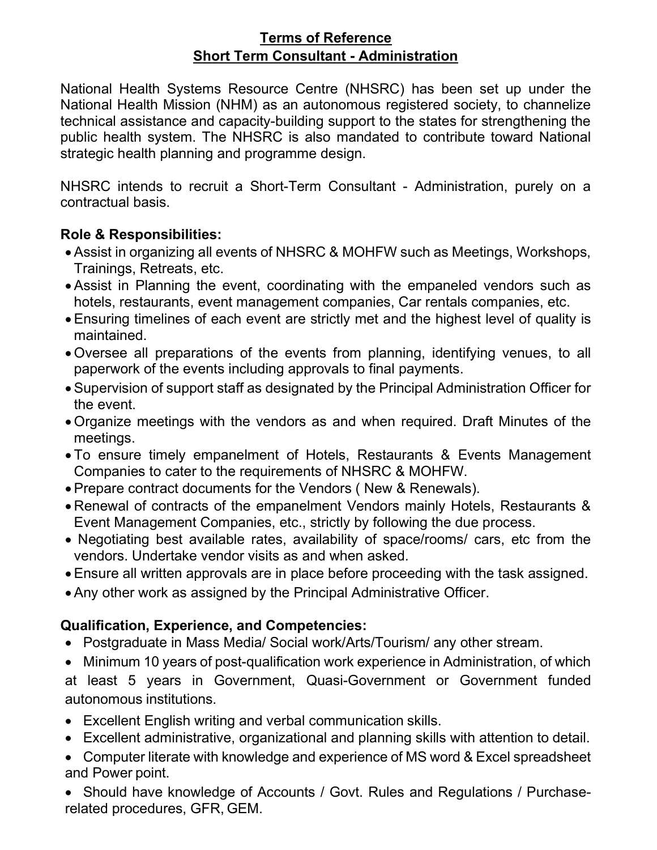## Terms of Reference Short Term Consultant - Administration

National Health Systems Resource Centre (NHSRC) has been set up under the National Health Mission (NHM) as an autonomous registered society, to channelize technical assistance and capacity-building support to the states for strengthening the public health system. The NHSRC is also mandated to contribute toward National strategic health planning and programme design.

NHSRC intends to recruit a Short-Term Consultant - Administration, purely on a contractual basis.

## Role & Responsibilities:

- Assist in organizing all events of NHSRC & MOHFW such as Meetings, Workshops, Trainings, Retreats, etc.
- Assist in Planning the event, coordinating with the empaneled vendors such as hotels, restaurants, event management companies, Car rentals companies, etc.
- Ensuring timelines of each event are strictly met and the highest level of quality is maintained.
- Oversee all preparations of the events from planning, identifying venues, to all paperwork of the events including approvals to final payments.
- Supervision of support staff as designated by the Principal Administration Officer for the event.
- Organize meetings with the vendors as and when required. Draft Minutes of the meetings.
- To ensure timely empanelment of Hotels, Restaurants & Events Management Companies to cater to the requirements of NHSRC & MOHFW.
- Prepare contract documents for the Vendors ( New & Renewals).
- Renewal of contracts of the empanelment Vendors mainly Hotels, Restaurants & Event Management Companies, etc., strictly by following the due process.
- Negotiating best available rates, availability of space/rooms/ cars, etc from the vendors. Undertake vendor visits as and when asked.
- Ensure all written approvals are in place before proceeding with the task assigned.
- Any other work as assigned by the Principal Administrative Officer.

## Qualification, Experience, and Competencies:

- Postgraduate in Mass Media/ Social work/Arts/Tourism/ any other stream.
- Minimum 10 years of post-qualification work experience in Administration, of which

at least 5 years in Government, Quasi-Government or Government funded autonomous institutions.

- Excellent English writing and verbal communication skills.
- Excellent administrative, organizational and planning skills with attention to detail.
- Computer literate with knowledge and experience of MS word & Excel spreadsheet and Power point.

 Should have knowledge of Accounts / Govt. Rules and Regulations / Purchaserelated procedures, GFR, GEM.